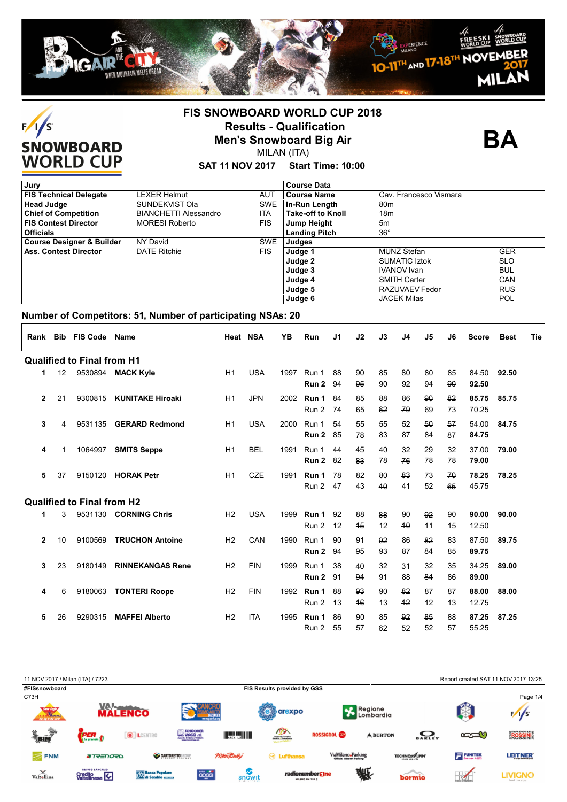



**BA**

# **SAT 11 NOV 2017 Start Time: 10:00**

| Jury                                 |                              |            | <b>Course Data</b>       |                        |            |
|--------------------------------------|------------------------------|------------|--------------------------|------------------------|------------|
| <b>FIS Technical Delegate</b>        | LEXER Helmut                 | <b>AUT</b> | Course Name              | Cav. Francesco Vismara |            |
| <b>Head Judge</b>                    | SUNDEKVIST Ola               | <b>SWE</b> | ∣ In-Run Length          | 80 <sub>m</sub>        |            |
| <b>Chief of Competition</b>          | <b>BIANCHETTI Alessandro</b> | ITA        | <b>Take-off to Knoll</b> | 18 <sub>m</sub>        |            |
| <b>FIS Contest Director</b>          | <b>MORESI Roberto</b>        | FIS.       | Jump Height              | 5 <sub>m</sub>         |            |
| <b>Officials</b>                     |                              |            | <b>Landing Pitch</b>     | $36^{\circ}$           |            |
| <b>Course Designer &amp; Builder</b> | NY David                     | <b>SWE</b> | Judges                   |                        |            |
| <b>Ass. Contest Director</b>         | <b>DATE Ritchie</b>          | <b>FIS</b> | Judge 1                  | <b>MUNZ Stefan</b>     | <b>GER</b> |
|                                      |                              |            | Judge 2                  | <b>SUMATIC Iztok</b>   | <b>SLO</b> |
|                                      |                              |            | Judge 3                  | <b>IVANOV</b> Ivan     | <b>BUL</b> |
|                                      |                              |            | Judge 4                  | <b>SMITH Carter</b>    | CAN        |
|                                      |                              |            | Judge 5                  | RAZUVAEV Fedor         | <b>RUS</b> |
|                                      |                              |            | Judge 6                  | <b>JACEK Milas</b>     | <b>POL</b> |

| Rank           |    | <b>Bib FIS Code</b>               | Name                    | Heat NSA       |            | YB   | Run            | J1       | J2       | J3       | J <sub>4</sub> | J5       | J <sub>6</sub> | <b>Score</b>   | <b>Best</b> | <b>Tie</b> |
|----------------|----|-----------------------------------|-------------------------|----------------|------------|------|----------------|----------|----------|----------|----------------|----------|----------------|----------------|-------------|------------|
|                |    | <b>Qualified to Final from H1</b> |                         |                |            |      |                |          |          |          |                |          |                |                |             |            |
| 1              | 12 |                                   | 9530894 MACK Kyle       | H1             | <b>USA</b> | 1997 | Run 1<br>Run 2 | 88<br>94 | 90<br>95 | 85<br>90 | 80<br>92       | 80<br>94 | 85<br>90       | 84.50<br>92.50 | 92.50       |            |
| $\overline{2}$ | 21 | 9300815                           | <b>KUNITAKE Hiroaki</b> | H1             | <b>JPN</b> | 2002 | Run 1<br>Run 2 | 84<br>74 | 85<br>65 | 88<br>62 | 86<br>79       | 90<br>69 | 82<br>73       | 85.75<br>70.25 | 85.75       |            |
| 3              | 4  | 9531135                           | <b>GERARD Redmond</b>   | H1             | <b>USA</b> | 2000 | Run 1<br>Run 2 | 54<br>85 | 55<br>78 | 55<br>83 | 52<br>87       | 50<br>84 | 57<br>87       | 54.00<br>84.75 | 84.75       |            |
| 4              | 1  | 1064997                           | <b>SMITS Seppe</b>      | H1             | <b>BEL</b> | 1991 | Run 1<br>Run 2 | 44<br>82 | 45<br>83 | 40<br>78 | 32<br>76       | 29<br>78 | 32<br>78       | 37.00<br>79.00 | 79.00       |            |
| 5              | 37 | 9150120                           | <b>HORAK Petr</b>       | H1             | <b>CZE</b> | 1991 | Run 1<br>Run 2 | 78<br>47 | 82<br>43 | 80<br>40 | 83<br>41       | 73<br>52 | 70<br>65       | 78.25<br>45.75 | 78.25       |            |
|                |    | <b>Qualified to Final from H2</b> |                         |                |            |      |                |          |          |          |                |          |                |                |             |            |
| 1              | 3  | 9531130                           | <b>CORNING Chris</b>    | H <sub>2</sub> | <b>USA</b> | 1999 | Run 1<br>Run 2 | 92<br>12 | 88<br>45 | 88<br>12 | 90<br>40       | 92<br>11 | 90<br>15       | 90.00<br>12.50 | 90.00       |            |
| $\mathbf{2}$   | 10 | 9100569                           | <b>TRUCHON Antoine</b>  | H <sub>2</sub> | CAN        | 1990 | Run 1<br>Run 2 | 90<br>94 | 91<br>95 | 92<br>93 | 86<br>87       | 82<br>84 | 83<br>85       | 87.50<br>89.75 | 89.75       |            |
| 3              | 23 | 9180149                           | <b>RINNEKANGAS Rene</b> | H <sub>2</sub> | <b>FIN</b> | 1999 | Run 1<br>Run 2 | 38<br>91 | 40<br>94 | 32<br>91 | 34<br>88       | 32<br>84 | 35<br>86       | 34.25<br>89.00 | 89.00       |            |
| 4              | 6  | 9180063                           | <b>TONTERI Roope</b>    | H <sub>2</sub> | <b>FIN</b> | 1992 | Run 1<br>Run 2 | 88<br>13 | 93<br>46 | 90<br>13 | 82<br>42       | 87<br>12 | 87<br>13       | 88.00<br>12.75 | 88.00       |            |
| 5              | 26 | 9290315                           | <b>MAFFEI Alberto</b>   | H <sub>2</sub> | <b>ITA</b> | 1995 | Run 1<br>Run 2 | 86<br>55 | 90<br>57 | 85<br>62 | 92<br>52       | 85<br>52 | 88<br>57       | 87.25<br>55.25 | 87.25       |            |

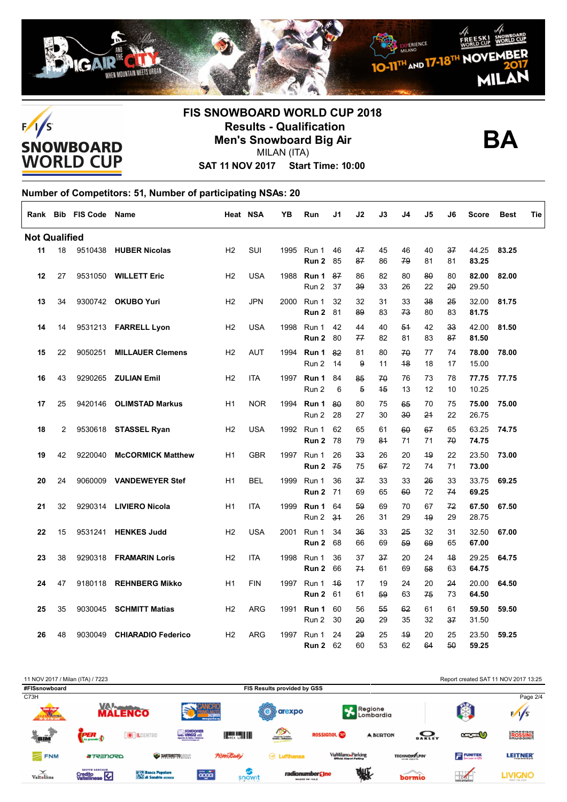





**SAT 11 NOV 2017 Start Time: 10:00**

| Rank                 |    | <b>Bib FIS Code</b> | Name                      | Heat NSA       |            | YΒ   | Run                      | J1        | J2                   | J3       | J4       | J5       | J6       | <b>Score</b>   | <b>Best</b> | Tie |
|----------------------|----|---------------------|---------------------------|----------------|------------|------|--------------------------|-----------|----------------------|----------|----------|----------|----------|----------------|-------------|-----|
| <b>Not Qualified</b> |    |                     |                           |                |            |      |                          |           |                      |          |          |          |          |                |             |     |
| 11                   | 18 |                     | 9510438 HUBER Nicolas     | H <sub>2</sub> | SUI        | 1995 | Run 1<br>Run 2           | 46<br>85  | 47<br>87             | 45<br>86 | 46<br>79 | 40<br>81 | 37<br>81 | 44.25<br>83.25 | 83.25       |     |
| 12                   | 27 |                     | 9531050 WILLETT Eric      | H2             | <b>USA</b> | 1988 | Run 1<br>Run 2           | 87<br>37  | 86<br>39             | 82<br>33 | 80<br>26 | 80<br>22 | 80<br>20 | 82.00<br>29.50 | 82.00       |     |
| 13                   | 34 |                     | 9300742 OKUBO Yuri        | H2             | <b>JPN</b> | 2000 | Run 1<br>Run 2           | 32<br>81  | 32<br>89             | 31<br>83 | 33<br>73 | 38<br>80 | 25<br>83 | 32.00<br>81.75 | 81.75       |     |
| 14                   | 14 |                     | 9531213 FARRELL Lyon      | H2             | <b>USA</b> | 1998 | Run 1<br>Run 2           | 42<br>80  | 44<br>77             | 40<br>82 | 54<br>81 | 42<br>83 | 33<br>87 | 42.00<br>81.50 | 81.50       |     |
| 15                   | 22 | 9050251             | <b>MILLAUER Clemens</b>   | H2             | <b>AUT</b> | 1994 | Run 1<br>Run 2           | 82<br>14  | 81<br>9              | 80<br>11 | 70<br>48 | 77<br>18 | 74<br>17 | 78.00<br>15.00 | 78.00       |     |
| 16                   | 43 | 9290265             | <b>ZULIAN Emil</b>        | H2             | <b>ITA</b> | 1997 | Run 1<br>Run 2           | 84<br>6   | 85<br>$\overline{5}$ | 70<br>45 | 76<br>13 | 73<br>12 | 78<br>10 | 77.75<br>10.25 | 77.75       |     |
| 17                   | 25 | 9420146             | <b>OLIMSTAD Markus</b>    | H1             | <b>NOR</b> | 1994 | Run 1<br>Run 2           | 80<br>28  | 80<br>27             | 75<br>30 | 65<br>30 | 70<br>24 | 75<br>22 | 75.00<br>26.75 | 75.00       |     |
| 18                   | 2  |                     | 9530618 STASSEL Ryan      | H <sub>2</sub> | <b>USA</b> | 1992 | Run 1<br>Run 2           | 62<br>78  | 65<br>79             | 61<br>84 | 60<br>71 | 67<br>71 | 65<br>70 | 63.25<br>74.75 | 74.75       |     |
| 19                   | 42 | 9220040             | <b>McCORMICK Matthew</b>  | H1             | <b>GBR</b> | 1997 | Run 1<br>Run 2           | 26<br>75  | 33<br>75             | 26<br>67 | 20<br>72 | 49<br>74 | 22<br>71 | 23.50<br>73.00 | 73.00       |     |
| 20                   | 24 | 9060009             | <b>VANDEWEYER Stef</b>    | H1             | <b>BEL</b> | 1999 | Run 1<br><b>Run 2 71</b> | 36        | 37<br>69             | 33<br>65 | 33<br>60 | 26<br>72 | 33<br>74 | 33.75<br>69.25 | 69.25       |     |
| 21                   | 32 | 9290314             | <b>LIVIERO Nicola</b>     | H1             | <b>ITA</b> | 1999 | Run 1<br>Run 2           | 64<br>34  | 59<br>26             | 69<br>31 | 70<br>29 | 67<br>49 | 72<br>29 | 67.50<br>28.75 | 67.50       |     |
| 22                   | 15 | 9531241             | <b>HENKES Judd</b>        | H <sub>2</sub> | <b>USA</b> | 2001 | Run 1<br>Run 2           | 34<br>68  | 36<br>66             | 33<br>69 | 25<br>59 | 32<br>69 | 31<br>65 | 32.50<br>67.00 | 67.00       |     |
| 23                   | 38 | 9290318             | <b>FRAMARIN Loris</b>     | H <sub>2</sub> | <b>ITA</b> | 1998 | Run 1<br>Run 2           | 36<br>66  | 37<br>74             | 37<br>61 | 20<br>69 | 24<br>58 | 48<br>63 | 29.25<br>64.75 | 64.75       |     |
| 24                   | 47 | 9180118             | <b>REHNBERG Mikko</b>     | H1             | <b>FIN</b> | 1997 | Run 1<br>Run 2           | 46<br>-61 | 17<br>61             | 19<br>59 | 24<br>63 | 20<br>75 | 24<br>73 | 20.00<br>64.50 | 64.50       |     |
| 25                   | 35 | 9030045             | <b>SCHMITT Matias</b>     | H2             | <b>ARG</b> | 1991 | Run 1<br>Run 2           | 60<br>30  | 56<br>20             | 55<br>29 | 62<br>35 | 61<br>32 | 61<br>37 | 59.50<br>31.50 | 59.50       |     |
| 26                   | 48 | 9030049             | <b>CHIARADIO Federico</b> | H <sub>2</sub> | <b>ARG</b> | 1997 | Run 1<br>Run 2           | 24<br>62  | 29<br>60             | 25<br>53 | 49<br>62 | 20<br>64 | 25<br>50 | 23.50<br>59.25 | 59.25       |     |

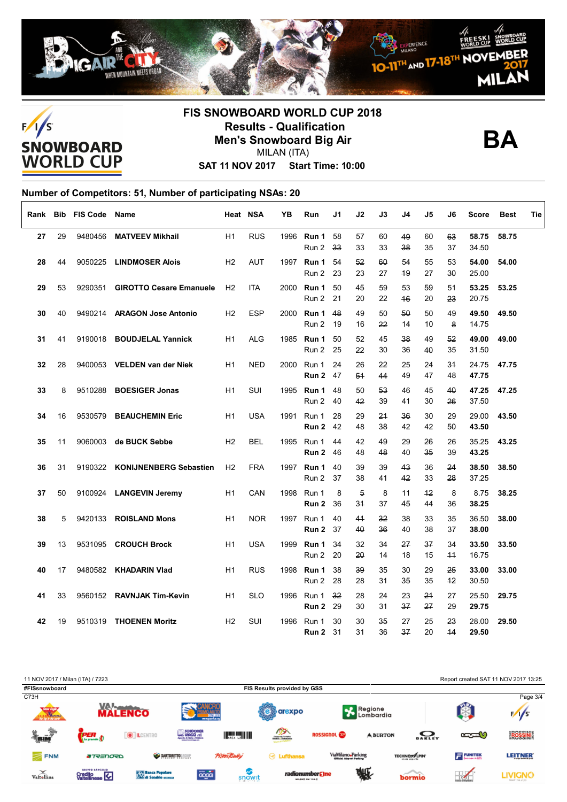





**SAT 11 NOV 2017 Start Time: 10:00**

| Rank |    | <b>Bib FIS Code</b> | Name                           |                | Heat NSA   | ΥB   | Run                        | J1       | J2                   | J3       | J4       | J5       | J6                 | Score          | <b>Best</b> | Tie |
|------|----|---------------------|--------------------------------|----------------|------------|------|----------------------------|----------|----------------------|----------|----------|----------|--------------------|----------------|-------------|-----|
| 27   | 29 | 9480456             | <b>MATVEEV Mikhail</b>         | H1             | <b>RUS</b> | 1996 | Run 1<br>Run 2             | 58<br>33 | 57<br>33             | 60<br>33 | 49<br>38 | 60<br>35 | 63<br>37           | 58.75<br>34.50 | 58.75       |     |
| 28   | 44 | 9050225             | <b>LINDMOSER Alois</b>         | H2             | <b>AUT</b> |      | 1997 <b>Run 1</b><br>Run 2 | 54<br>23 | 52<br>23             | 60<br>27 | 54<br>49 | 55<br>27 | 53<br>$30^{\circ}$ | 54.00<br>25.00 | 54.00       |     |
| 29   | 53 | 9290351             | <b>GIROTTO Cesare Emanuele</b> | H <sub>2</sub> | <b>ITA</b> | 2000 | Run 1<br>Run 2             | 50<br>21 | 45<br>20             | 59<br>22 | 53<br>46 | 59<br>20 | 51<br>23           | 53.25<br>20.75 | 53.25       |     |
| 30   | 40 | 9490214             | <b>ARAGON Jose Antonio</b>     | H <sub>2</sub> | <b>ESP</b> | 2000 | Run 1<br>Run 2             | 48<br>19 | 49<br>16             | 50<br>22 | 50<br>14 | 50<br>10 | 49<br>8            | 49.50<br>14.75 | 49.50       |     |
| 31   | 41 | 9190018             | <b>BOUDJELAL Yannick</b>       | H1             | <b>ALG</b> | 1985 | Run 1<br>Run 2             | 50<br>25 | 52<br>22             | 45<br>30 | 38<br>36 | 49<br>40 | 52<br>35           | 49.00<br>31.50 | 49.00       |     |
| 32   | 28 |                     | 9400053 VELDEN van der Niek    | H1             | <b>NED</b> | 2000 | Run 1<br>Run 2             | 24<br>47 | 26<br>54             | 22<br>44 | 25<br>49 | 24<br>47 | 34<br>48           | 24.75<br>47.75 | 47.75       |     |
| 33   | 8  | 9510288             | <b>BOESIGER Jonas</b>          | H1             | SUI        | 1995 | Run 1<br>Run 2             | 48<br>40 | 50<br>42             | 53<br>39 | 46<br>41 | 45<br>30 | 40<br>26           | 47.25<br>37.50 | 47.25       |     |
| 34   | 16 | 9530579             | <b>BEAUCHEMIN Eric</b>         | H1             | <b>USA</b> | 1991 | Run 1<br>Run 2             | 28<br>42 | 29<br>48             | 24<br>38 | 36<br>42 | 30<br>42 | 29<br>50           | 29.00<br>43.50 | 43.50       |     |
| 35   | 11 | 9060003             | de BUCK Sebbe                  | H <sub>2</sub> | <b>BEL</b> |      | 1995 Run 1<br>Run 2        | 44<br>46 | 42<br>48             | 49<br>48 | 29<br>40 | 26<br>35 | 26<br>39           | 35.25<br>43.25 | 43.25       |     |
| 36   | 31 | 9190322             | <b>KONIJNENBERG Sebastien</b>  | H2             | <b>FRA</b> | 1997 | Run 1<br>Run 2             | 40<br>37 | 39<br>38             | 39<br>41 | 43<br>42 | 36<br>33 | 24<br>28           | 38.50<br>37.25 | 38.50       |     |
| 37   | 50 |                     | 9100924 LANGEVIN Jeremy        | H1             | CAN        | 1998 | Run 1<br>Run 2             | 8<br>36  | $\overline{5}$<br>34 | 8<br>37  | 11<br>45 | 42<br>44 | 8<br>36            | 8.75<br>38.25  | 38.25       |     |
| 38   | 5  | 9420133             | <b>ROISLAND Mons</b>           | H1             | <b>NOR</b> | 1997 | Run 1<br>Run 2             | 40<br>37 | 41<br>40             | 32<br>36 | 38<br>40 | 33<br>38 | 35<br>37           | 36.50<br>38.00 | 38.00       |     |
| 39   | 13 | 9531095             | <b>CROUCH Brock</b>            | H1             | <b>USA</b> | 1999 | Run 1<br>Run 2             | 34<br>20 | 32<br>20             | 34<br>14 | 27<br>18 | 37<br>15 | 34<br>$+4$         | 33.50<br>16.75 | 33.50       |     |
| 40   | 17 | 9480582             | <b>KHADARIN VIad</b>           | H1             | <b>RUS</b> | 1998 | Run 1<br>Run 2             | 38<br>28 | 39<br>28             | 35<br>31 | 30<br>35 | 29<br>35 | 25<br>$+2$         | 33.00<br>30.50 | 33.00       |     |
| 41   | 33 | 9560152             | <b>RAVNJAK Tim-Kevin</b>       | H1             | <b>SLO</b> | 1996 | Run 1<br>Run 2             | 32<br>29 | 28<br>30             | 24<br>31 | 23<br>37 | 24<br>27 | 27<br>29           | 25.50<br>29.75 | 29.75       |     |
| 42   | 19 | 9510319             | <b>THOENEN Moritz</b>          | H <sub>2</sub> | <b>SUI</b> | 1996 | Run 1<br>Run 2             | 30<br>31 | 30<br>31             | 35<br>36 | 27<br>37 | 25<br>20 | 23<br>44           | 28.00<br>29.50 | 29.50       |     |